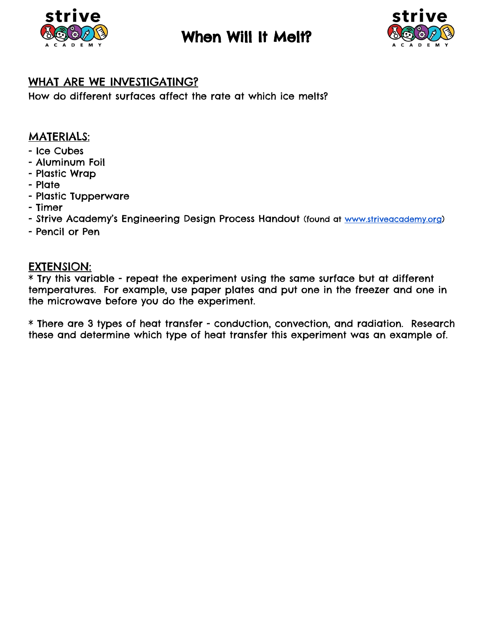

## When Will It Melt?



### WHAT ARE WE INVESTIGATING?

How do different surfaces affect the rate at which ice melts?

#### MATERIALS:

- Ice Cubes
- Aluminum Foil
- Plastic Wrap
- Plate
- Plastic Tupperware
- Timer
- Strive Academy's Engineering Design Process Handout (found at [www.striveacademy.org\)](http://www.striveacademy.org/)
- Pencil or Pen

#### EXTENSION:

\* Try this variable - repeat the experiment using the same surface but at different temperatures. For example, use paper plates and put one in the freezer and one in the microwave before you do the experiment.

\* There are 3 types of heat transfer - conduction, convection, and radiation. Research these and determine which type of heat transfer this experiment was an example of.